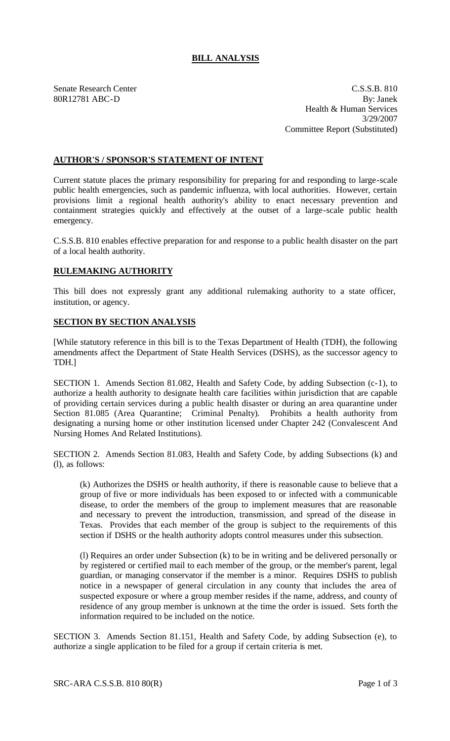## **BILL ANALYSIS**

Senate Research Center Cassets and C.S.S.B. 810 80R12781 ABC-D By: Janek Health & Human Services 3/29/2007 Committee Report (Substituted)

## **AUTHOR'S / SPONSOR'S STATEMENT OF INTENT**

Current statute places the primary responsibility for preparing for and responding to large-scale public health emergencies, such as pandemic influenza, with local authorities. However, certain provisions limit a regional health authority's ability to enact necessary prevention and containment strategies quickly and effectively at the outset of a large-scale public health emergency.

C.S.S.B. 810 enables effective preparation for and response to a public health disaster on the part of a local health authority.

## **RULEMAKING AUTHORITY**

This bill does not expressly grant any additional rulemaking authority to a state officer, institution, or agency.

## **SECTION BY SECTION ANALYSIS**

[While statutory reference in this bill is to the Texas Department of Health (TDH), the following amendments affect the Department of State Health Services (DSHS), as the successor agency to TDH.]

SECTION 1. Amends Section 81.082, Health and Safety Code, by adding Subsection (c-1), to authorize a health authority to designate health care facilities within jurisdiction that are capable of providing certain services during a public health disaster or during an area quarantine under Section 81.085 (Area Quarantine; Criminal Penalty). Prohibits a health authority from designating a nursing home or other institution licensed under Chapter 242 (Convalescent And Nursing Homes And Related Institutions).

SECTION 2. Amends Section 81.083, Health and Safety Code, by adding Subsections (k) and (l), as follows:

(k) Authorizes the DSHS or health authority, if there is reasonable cause to believe that a group of five or more individuals has been exposed to or infected with a communicable disease, to order the members of the group to implement measures that are reasonable and necessary to prevent the introduction, transmission, and spread of the disease in Texas. Provides that each member of the group is subject to the requirements of this section if DSHS or the health authority adopts control measures under this subsection.

(l) Requires an order under Subsection (k) to be in writing and be delivered personally or by registered or certified mail to each member of the group, or the member's parent, legal guardian, or managing conservator if the member is a minor. Requires DSHS to publish notice in a newspaper of general circulation in any county that includes the area of suspected exposure or where a group member resides if the name, address, and county of residence of any group member is unknown at the time the order is issued. Sets forth the information required to be included on the notice.

SECTION 3. Amends Section 81.151, Health and Safety Code, by adding Subsection (e), to authorize a single application to be filed for a group if certain criteria is met.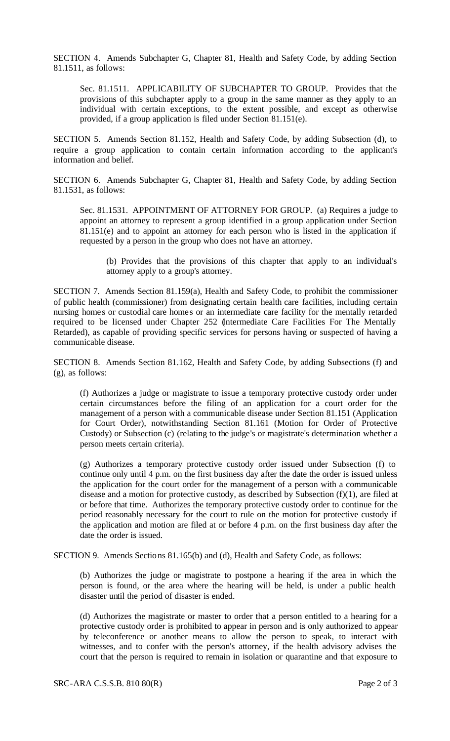SECTION 4. Amends Subchapter G, Chapter 81, Health and Safety Code, by adding Section 81.1511, as follows:

Sec. 81.1511. APPLICABILITY OF SUBCHAPTER TO GROUP. Provides that the provisions of this subchapter apply to a group in the same manner as they apply to an individual with certain exceptions, to the extent possible, and except as otherwise provided, if a group application is filed under Section 81.151(e).

SECTION 5. Amends Section 81.152, Health and Safety Code, by adding Subsection (d), to require a group application to contain certain information according to the applicant's information and belief.

SECTION 6. Amends Subchapter G, Chapter 81, Health and Safety Code, by adding Section 81.1531, as follows:

Sec. 81.1531. APPOINTMENT OF ATTORNEY FOR GROUP. (a) Requires a judge to appoint an attorney to represent a group identified in a group application under Section 81.151(e) and to appoint an attorney for each person who is listed in the application if requested by a person in the group who does not have an attorney.

(b) Provides that the provisions of this chapter that apply to an individual's attorney apply to a group's attorney.

SECTION 7. Amends Section 81.159(a), Health and Safety Code, to prohibit the commissioner of public health (commissioner) from designating certain health care facilities, including certain nursing homes or custodial care homes or an intermediate care facility for the mentally retarded required to be licensed under Chapter 252 (Intermediate Care Facilities For The Mentally Retarded), as capable of providing specific services for persons having or suspected of having a communicable disease.

SECTION 8. Amends Section 81.162, Health and Safety Code, by adding Subsections (f) and (g), as follows:

(f) Authorizes a judge or magistrate to issue a temporary protective custody order under certain circumstances before the filing of an application for a court order for the management of a person with a communicable disease under Section 81.151 (Application for Court Order), notwithstanding Section 81.161 (Motion for Order of Protective Custody) or Subsection (c) (relating to the judge's or magistrate's determination whether a person meets certain criteria).

(g) Authorizes a temporary protective custody order issued under Subsection (f) to continue only until 4 p.m. on the first business day after the date the order is issued unless the application for the court order for the management of a person with a communicable disease and a motion for protective custody, as described by Subsection (f)(1), are filed at or before that time. Authorizes the temporary protective custody order to continue for the period reasonably necessary for the court to rule on the motion for protective custody if the application and motion are filed at or before 4 p.m. on the first business day after the date the order is issued.

SECTION 9. Amends Sections 81.165(b) and (d), Health and Safety Code, as follows:

(b) Authorizes the judge or magistrate to postpone a hearing if the area in which the person is found, or the area where the hearing will be held, is under a public health disaster until the period of disaster is ended.

(d) Authorizes the magistrate or master to order that a person entitled to a hearing for a protective custody order is prohibited to appear in person and is only authorized to appear by teleconference or another means to allow the person to speak, to interact with witnesses, and to confer with the person's attorney, if the health advisory advises the court that the person is required to remain in isolation or quarantine and that exposure to